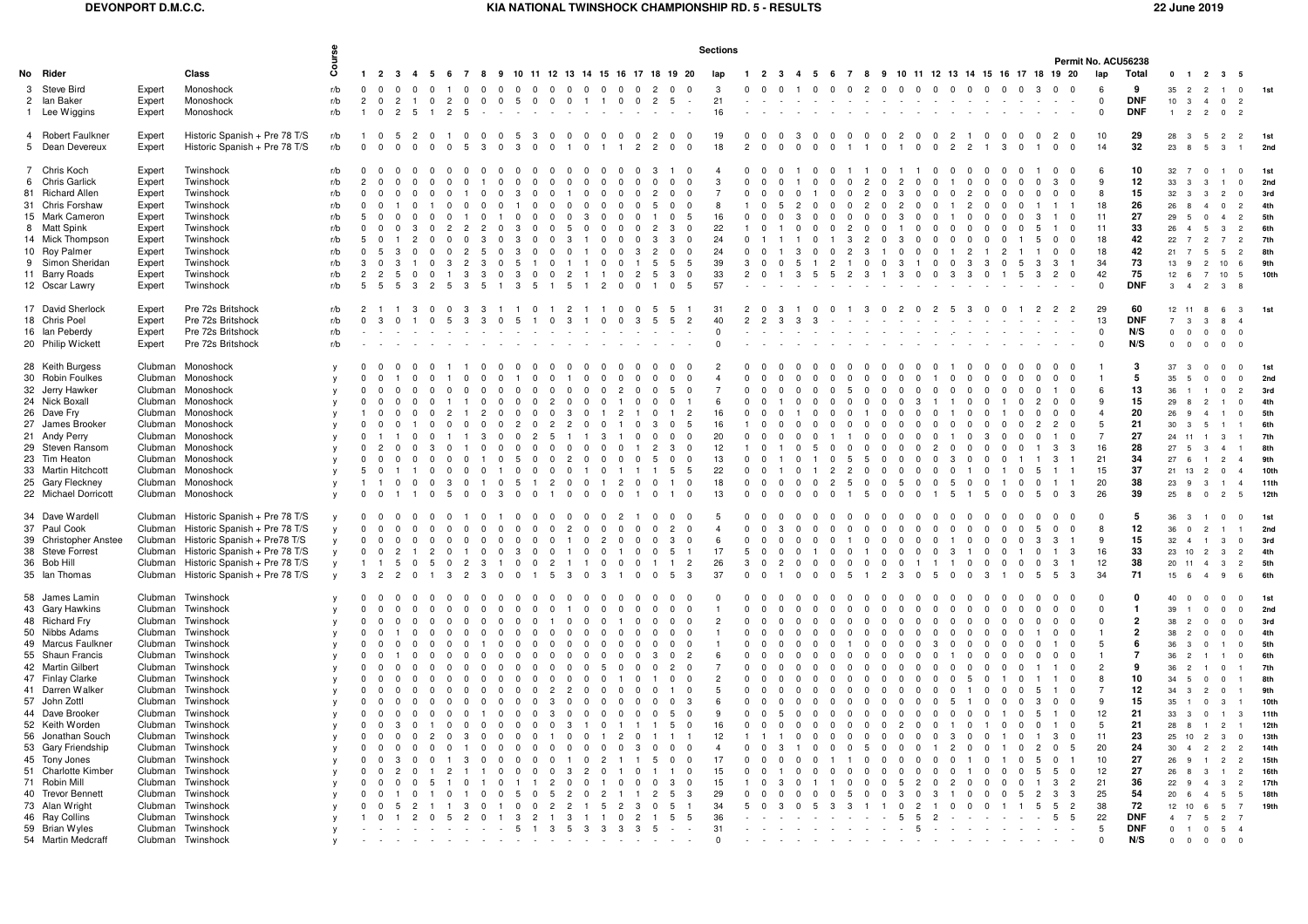## **KIA NATIONAL TWINSHOCK CHAMPIONSHIP RD. 5 - RESULTS 22 June 2019**

|                                                                                                                                                                                                                                                                                                                                                                                                                                          |                                                                                                                                  |                                                                                                                                                                                                                                                                                                                                                                            |                                                                                                                                | <b>Sections</b><br>Permit No. ACU56238                                                     |                                                                                  |                         |                                                                           |                                                   |                                                                     |                                                                              |                                                                                                                 |                                                                                                                                                                                                                               |                                                                                                                             |                                                                         |                                                                                                      |                                                                   |                                                                                                                                                                                                     |                                                                         |                                                                                                        |                                                                                        |                                                          |                                                                                                                        |                                                    |                                                                                                                                                               |                                                                |                                                                                                                                                                                 |                                                                                       |                                                                                                                                                                     |                                        |          |                                                                                            |                                                                                  |                                                                                                                                                                     |                                                                                                                                                                                                                      |                                                                         |                                                                                                                                                                                                                                                                                                      |                                                                                                                                                                                                                         |                                                                                                                                                                                                                       |                                                                                                                                                                                                                   |
|------------------------------------------------------------------------------------------------------------------------------------------------------------------------------------------------------------------------------------------------------------------------------------------------------------------------------------------------------------------------------------------------------------------------------------------|----------------------------------------------------------------------------------------------------------------------------------|----------------------------------------------------------------------------------------------------------------------------------------------------------------------------------------------------------------------------------------------------------------------------------------------------------------------------------------------------------------------------|--------------------------------------------------------------------------------------------------------------------------------|--------------------------------------------------------------------------------------------|----------------------------------------------------------------------------------|-------------------------|---------------------------------------------------------------------------|---------------------------------------------------|---------------------------------------------------------------------|------------------------------------------------------------------------------|-----------------------------------------------------------------------------------------------------------------|-------------------------------------------------------------------------------------------------------------------------------------------------------------------------------------------------------------------------------|-----------------------------------------------------------------------------------------------------------------------------|-------------------------------------------------------------------------|------------------------------------------------------------------------------------------------------|-------------------------------------------------------------------|-----------------------------------------------------------------------------------------------------------------------------------------------------------------------------------------------------|-------------------------------------------------------------------------|--------------------------------------------------------------------------------------------------------|----------------------------------------------------------------------------------------|----------------------------------------------------------|------------------------------------------------------------------------------------------------------------------------|----------------------------------------------------|---------------------------------------------------------------------------------------------------------------------------------------------------------------|----------------------------------------------------------------|---------------------------------------------------------------------------------------------------------------------------------------------------------------------------------|---------------------------------------------------------------------------------------|---------------------------------------------------------------------------------------------------------------------------------------------------------------------|----------------------------------------|----------|--------------------------------------------------------------------------------------------|----------------------------------------------------------------------------------|---------------------------------------------------------------------------------------------------------------------------------------------------------------------|----------------------------------------------------------------------------------------------------------------------------------------------------------------------------------------------------------------------|-------------------------------------------------------------------------|------------------------------------------------------------------------------------------------------------------------------------------------------------------------------------------------------------------------------------------------------------------------------------------------------|-------------------------------------------------------------------------------------------------------------------------------------------------------------------------------------------------------------------------|-----------------------------------------------------------------------------------------------------------------------------------------------------------------------------------------------------------------------|-------------------------------------------------------------------------------------------------------------------------------------------------------------------------------------------------------------------|
| No Rider                                                                                                                                                                                                                                                                                                                                                                                                                                 |                                                                                                                                  | Class                                                                                                                                                                                                                                                                                                                                                                      | g                                                                                                                              |                                                                                            | $1 \quad 2 \quad 3$                                                              | $\overline{\mathbf{4}}$ | - 5<br>- 6                                                                | 78                                                | 9                                                                   |                                                                              |                                                                                                                 |                                                                                                                                                                                                                               |                                                                                                                             |                                                                         |                                                                                                      |                                                                   | 10 11 12 13 14 15 16 17 18 19 20                                                                                                                                                                    | lan                                                                     |                                                                                                        |                                                                                        |                                                          |                                                                                                                        | 1 2 3 4 5 6 7 8 9 10 11 12 13 14 15 16 17 18 19 20 |                                                                                                                                                               |                                                                |                                                                                                                                                                                 |                                                                                       |                                                                                                                                                                     |                                        |          |                                                                                            |                                                                                  | lap                                                                                                                                                                 | Total                                                                                                                                                                                                                |                                                                         | $0 \quad 1 \quad 2 \quad 3$                                                                                                                                                                                                                                                                          |                                                                                                                                                                                                                         |                                                                                                                                                                                                                       |                                                                                                                                                                                                                   |
| 3 Steve Bird<br>2 Ian Baker<br>1 Lee Wiggins                                                                                                                                                                                                                                                                                                                                                                                             | Expert<br>Expert<br>Expert                                                                                                       | Monoshock<br>Monoshock<br>Monoshock                                                                                                                                                                                                                                                                                                                                        | r/b<br>r/b<br>r/b                                                                                                              | $\mathbf{0}$<br>$\overline{2}$                                                             | $\Omega$<br>$\Omega$<br>$\Omega$<br>$\overline{2}$<br>$\Omega$<br>$\overline{2}$ | $\Omega$<br>-5          | $\overline{2}$<br>$\overline{2}$                                          | $\Omega$                                          |                                                                     | .5                                                                           | $\Omega$                                                                                                        | $\Omega$<br>$\Omega$                                                                                                                                                                                                          |                                                                                                                             |                                                                         | $\Omega$<br>$\Omega$                                                                                 | $\overline{2}$                                                    | $\Omega$<br>- 0<br>-5                                                                                                                                                                               | -3<br>21<br>16                                                          | $\Omega$                                                                                               |                                                                                        |                                                          | $\Omega$                                                                                                               |                                                    | $\mathcal{P}$<br>$\Omega$                                                                                                                                     | $\Omega$                                                       | $\Omega$<br>$\Omega$                                                                                                                                                            | $\Omega$                                                                              | $\Omega$<br>$\Omega$                                                                                                                                                | $\Omega$                               | $\Omega$ | $\mathbf{3}$<br>$\Omega$                                                                   | $\Omega$                                                                         | 6<br>$\Omega$<br>$\Omega$                                                                                                                                           | 9<br><b>DNF</b><br><b>DNF</b>                                                                                                                                                                                        | 35<br>10<br>1                                                           | $\overline{2}$<br>$\overline{2}$<br>$\overline{\mathbf{3}}$<br>$\overline{4}$<br>$\overline{2}$<br>$\overline{2}$                                                                                                                                                                                    | $\Omega$<br>$\Omega$                                                                                                                                                                                                    | $^{\circ}$<br>$\overline{2}$<br>$\overline{2}$                                                                                                                                                                        | 1st                                                                                                                                                                                                               |
| 4 Robert Faulkner<br>5 Dean Devereux                                                                                                                                                                                                                                                                                                                                                                                                     | Expert<br>Expert                                                                                                                 | Historic Spanish + Pre 78 T/S<br>Historic Spanish + Pre 78 T/S                                                                                                                                                                                                                                                                                                             | r/b<br>r/b                                                                                                                     | $\Omega$                                                                                   | $\Omega$                                                                         |                         | $\Omega$<br>$\Omega$                                                      | -5                                                | $\mathbf{B}$<br>$\Omega$                                            | 3                                                                            | $\Omega$                                                                                                        | $\Omega$                                                                                                                                                                                                                      | $\Omega$                                                                                                                    |                                                                         | $\overline{2}$                                                                                       | $\overline{2}$<br>$\overline{c}$                                  | $^{\circ}$<br>0<br>$\mathbf 0$<br>$\overline{\mathbf{0}}$                                                                                                                                           | 19<br>18                                                                | $\overline{2}$                                                                                         | $\Omega$<br>$\Omega$                                                                   | $\Omega$                                                 | $\Omega$<br>$\Omega$                                                                                                   |                                                    | $\Omega$                                                                                                                                                      |                                                                | $\mathbf{0}$<br>$\mathbf 0$<br>$\Omega$                                                                                                                                         | $\overline{2}$<br>$\overline{2}$                                                      | $\mathbf{0}$<br>$\overline{2}$<br>$\overline{1}$                                                                                                                    | $\mathbf{3}$                           | $\Omega$ | $\mathbf 0$                                                                                | $\mathbf{0}$<br>$\Omega$                                                         | 10<br>14                                                                                                                                                            | 29<br>32                                                                                                                                                                                                             | 28<br>23 8                                                              | $\overline{\mathbf{3}}$<br>$-5$<br>$5^{\circ}$                                                                                                                                                                                                                                                       | $\overline{2}$<br>$\mathbf{3}$                                                                                                                                                                                          | $\overline{2}$                                                                                                                                                                                                        | 1st<br>2nd                                                                                                                                                                                                        |
| 7 Chris Koch<br>6 Chris Garlick<br>81 Richard Allen<br>31 Chris Forshaw<br>15 Mark Cameron<br>8 Matt Spink<br>14 Mick Thompson<br>10 Roy Palmer<br>9 Simon Sheridan<br>11 Barry Roads<br>12 Oscar Lawry                                                                                                                                                                                                                                  | Expert<br>Expert<br>Expert<br>Expert<br>Expert<br>Expert<br>Expert<br>Expert<br>Expert<br>Expert<br>Expert                       | Twinshock<br>Twinshock<br>Twinshock<br>Twinshock<br>Twinshock<br>Twinshock<br>Twinshock<br>Twinshock<br>Twinshock<br>Twinshock<br>Twinshock                                                                                                                                                                                                                                | r/b<br>r/b<br>r/b<br>r/b<br>r/b<br>r/b<br>r/b<br>r/b<br>r/b<br>r/b<br>r/b                                                      | $\Omega$<br>$\mathcal{D}$<br>$\Omega$<br>$\Omega$<br>$\Omega$<br>্ব<br>$\mathcal{P}$<br>-5 | - 0<br>-5<br>$\cdot$ 3<br>$\Omega$                                               | $\Omega$                | $\Omega$<br>$\Omega$<br>$\Omega$<br>$\Omega$<br>$\mathcal{R}$<br>$\Omega$ | $\Omega$<br>$\overline{2}$<br>$\overline{2}$<br>3 | 3<br>$\Omega$<br>- 5<br>$\Omega$<br>-3<br>$\Omega$<br>3<br>$\Omega$ | -0<br>$\Omega$<br>3<br>3<br>$\mathcal{R}$<br>-5<br>3<br>3                    | n<br>$\Omega$<br>$\Omega$<br>n<br>$\Omega$<br>$\Omega$<br>$\mathbf{1}$<br>$\Omega$<br>5                         | - 0<br>$\Omega$<br>$\Omega$<br>$\Omega$<br>$\Omega$<br>$\Omega$<br>$\Omega$<br>$\Omega$<br>3<br>$\Omega$<br>$\Omega$<br>$\Omega$<br>$\Omega$                                                                                  | $\Omega$<br>$\Omega$<br>$\Omega$                                                                                            | $\Omega$<br>$\Omega$<br>$\Omega$<br>$\Omega$<br>$\Omega$                | $\Omega$<br>$\cap$<br>$\Omega$<br>$\Omega$<br>$\Omega$<br>$\mathbf{R}$<br>$\Omega$<br>$\overline{2}$ | $\overline{2}$<br>5<br>$\mathbf{3}$<br>$\overline{2}$<br>-5<br>-5 | - 0<br>$\Omega$<br>$\Omega$<br>$\Omega$<br>$\Omega$<br>$\sqrt{ }$<br>$\Omega$<br>$\mathbf{3}$<br>$\overline{0}$<br>$^{\circ}$<br>$^{\circ}$<br>-5<br>- 5<br>-3<br>$\Omega$<br>5                     | 3<br>$\mathbf{R}$<br>16<br>22<br>24<br>24<br>39<br>33<br>57             | $\Omega$<br>$\Omega$<br>$\Omega$<br>$\Omega$<br>$\Omega$<br>$\Omega$<br>$\mathcal{R}$<br>$\mathcal{P}$ | $\Omega$<br>$\Omega$<br>$\cap$<br>$\Omega$<br>$\Omega$                                 | $\Omega$<br>$\overline{2}$<br>$\mathcal{R}$<br>-5        | $\Omega$<br>$\Omega$<br>$\Omega$<br>$\sqrt{ }$<br>$\Omega$<br>$\Omega$<br>$\Omega$<br>$\overline{2}$<br>$\overline{1}$ | $\Omega$<br>$\Omega$<br>3<br>$\overline{2}$        | $\overline{2}$<br>$\Omega$<br>$\mathcal{P}$<br>$\Omega$<br>$\mathcal{D}$<br>$\overline{2}$<br>$\Omega$<br>$\cdot$ 3<br>$\overline{1}$<br>$\Omega$<br>$\Omega$ | $\overline{2}$<br>3<br>2<br>3<br>$\Omega$<br>- 3<br>3          | $\Omega$<br>$\Omega$<br>$\Omega$<br>$\Omega$<br>$\Omega$<br>$\Omega$<br>$\Omega$<br>$\Omega$<br>$\Omega$<br>$\overline{1}$<br>$\Omega$<br>$\Omega$<br>$\Omega$                  | $\Omega$<br>$\Omega$<br>$\Omega$<br>$\overline{1}$<br>$\Omega$<br>3                   | $\Omega$<br>$\Omega$<br>$\Omega$<br>$\Omega$<br>$\overline{2}$<br>2<br>$\Omega$<br>$\Omega$<br>$\mathcal{P}$<br>$\overline{1}$<br>$\mathbf{3}$<br>$\mathbf{3}$<br>3 | $\Omega$<br>$\overline{2}$<br>$\Omega$ | -5       | $\Omega$<br>$\Omega$<br>-3<br>$^{\circ}$<br>$^{\circ}$<br>3<br>3<br>$\overline{2}$         | $\Omega$<br>$\Omega$<br>$^{\circ}$<br>$\Omega$                                   | -6<br>9<br>8<br>18<br>11<br>11<br>18<br>18<br>34<br>42<br>$\Omega$                                                                                                  | 10<br>12<br>15<br>26<br>27<br>33<br>42<br>42<br>73<br>75<br><b>DNF</b>                                                                                                                                               | 32<br>33<br>32<br>26<br>29<br>22<br>21<br>13<br>12<br>$\mathcal{R}$     | $\overline{7}$<br>$\Omega$<br>$\mathbf{3}$<br>$\mathbf{3}$<br>$\mathbf{R}$<br>$\mathcal{R}$<br>$\mathbf{R}$<br>$\Lambda$<br>$\Omega$<br>-5<br>$\overline{7}$<br>$\overline{2}$<br>$\overline{7}$<br>- 5<br>$\overline{2}$<br>$\mathbf{q}$<br>$\overline{7}$<br>- 6<br>$\overline{2}$<br>$\mathbf{A}$ | $\overline{1}$<br>$\overline{2}$<br>$\Omega$<br>$\mathbf{A}$<br>$\mathbf{3}$<br>7<br>5<br>10<br>10<br>$\mathbf{3}$                                                                                                      | $\Omega$<br>$\overline{0}$<br>$\Omega$<br>$\overline{2}$<br>$\overline{2}$<br>$\overline{2}$<br>$\overline{2}$<br>$\overline{2}$<br>6<br>- 5                                                                          | 1st<br>2nc<br>3rd<br>4th<br>5th<br>6th<br>7th<br>8th<br>9th<br>10th                                                                                                                                               |
| 17 David Sherlock<br>18 Chris Poel<br>16 Ian Peberdy<br>20 Philip Wickett                                                                                                                                                                                                                                                                                                                                                                | Expert<br>Expert<br>Expert<br>Expert                                                                                             | Pre 72s Britshock<br>Pre 72s Britshock<br>Pre 72s Britshock<br>Pre 72s Britshock                                                                                                                                                                                                                                                                                           | r/b<br>r/b<br>r/b<br>r/b                                                                                                       | 2<br>$\Omega$                                                                              |                                                                                  |                         |                                                                           |                                                   |                                                                     | -5                                                                           | $\cap$                                                                                                          | $\mathcal{P}$<br>$\Omega$<br>3                                                                                                                                                                                                |                                                                                                                             |                                                                         |                                                                                                      | -5<br>-5                                                          | -5<br>5<br>$\overline{2}$                                                                                                                                                                           | 31<br>40                                                                | $\overline{2}$                                                                                         |                                                                                        |                                                          |                                                                                                                        |                                                    |                                                                                                                                                               | $\mathcal{P}$                                                  | $\overline{2}$<br>$\cap$                                                                                                                                                        | -5                                                                                    | -3<br>- 0                                                                                                                                                           |                                        |          | $\overline{2}$                                                                             | $\overline{2}$                                                                   | 29<br>13<br>$\mathbf 0$<br>$\Omega$                                                                                                                                 | 60<br><b>DNF</b><br>N/S<br>N/S                                                                                                                                                                                       | 12 11<br>$\overline{7}$<br>$0 \quad 0$                                  | $\mathbf{R}$<br>$\mathbf{3}$<br>$\Omega$<br>$0\qquad 0\qquad 0\qquad 0$                                                                                                                                                                                                                              | 6<br>-8<br>$\Omega$                                                                                                                                                                                                     | - 3<br>$\Omega$                                                                                                                                                                                                       | 1st                                                                                                                                                                                                               |
| 28 Keith Burgess<br>30 Robin Foulkes<br>32 Jerry Hawker<br>24 Nick Boxall<br>26 Dave Fry<br>27 James Brooker<br>21 Andy Perry<br>29 Steven Ransom<br>23 Tim Heaton<br>33 Martin Hitchcott<br>25 Gary Fleckney<br>22 Michael Dorricott                                                                                                                                                                                                    | Clubman<br>Clubman                                                                                                               | Monoshock<br>Monoshock<br>Clubman Monoshock<br>Clubman Monoshock<br>Clubman Monoshock<br>Clubman Monoshock<br>Clubman Monoshock<br>Clubman Monoshock<br>Clubman Monoshock<br>Clubman Monoshock<br>Clubman Monoshock<br>Clubman Monoshock                                                                                                                                   | $\mathsf{v}$<br><b>V</b><br>$\mathsf{v}$<br>$\mathsf{v}$<br><b>V</b>                                                           | $\Omega$                                                                                   |                                                                                  |                         | -3                                                                        | $\cap$                                            | n<br>n<br>$\Omega$                                                  | $\Omega$<br>$\Omega$<br>$\overline{2}$<br>$\Omega$<br>$\Omega$<br>-5         | 0<br>$\Omega$<br>$\Omega$<br>$\Omega$<br>$\Omega$<br>$\Omega$<br>$\overline{2}$<br>$\Omega$                     | $\Omega$<br>0<br>$\Omega$<br>$\Omega$<br>$\Omega$<br>$\overline{2}$<br>$\Omega$<br>$\Omega$<br>$\mathcal{S}$<br>$\overline{2}$<br>$\overline{2}$<br>5<br>$\Omega$<br>$\Omega$<br>$\overline{2}$<br>$\Omega$                   | 0<br>$\Omega$<br>$\Omega$<br>$\Omega$<br>$\Omega$<br>0<br>$\Omega$                                                          | $\Omega$<br>$\Omega$<br>$\Omega$<br>$\Omega$<br>3<br>$\Omega$<br>-1     | $\overline{2}$<br>$\Omega$<br>$\overline{2}$<br>$\Omega$                                             | $\Omega$<br>$\Omega$<br>-3<br>$\Omega$                            | $\Omega$<br>$\Omega$<br>$\Omega$<br>$\Omega$<br>-5<br>$\Omega$<br>$\Omega$<br>- 5<br>- 0<br>- 0<br>$\Omega$<br>$\Omega$<br>- 0<br>-5<br>-5<br>$\overline{\mathbf{0}}$<br>$\overline{1}$<br>$\Omega$ | $\epsilon$<br>16<br>16<br>20<br>12<br>13<br>22<br>18<br>13              | $\Omega$<br>$\Omega$<br>-1<br>$\Omega$<br>$\Omega$<br>$\Omega$<br>$\Omega$                             | $\Omega$<br>$\Omega$<br>$\Omega$<br>$\Omega$<br>$\Omega$                               | $\Omega$<br>$\Omega$<br>$\Omega$                         | $\Omega$<br>$\Omega$<br>$\overline{2}$<br>$\Omega$                                                                     | -5<br>$\overline{2}$<br>-5                         | $\Omega$<br>$\Omega$<br>$\Omega$<br>$\Omega$<br>$\Omega$<br>$\Omega$                                                                                          | $\Omega$<br>$\Omega$<br>-5                                     | $\cap$<br>$\Omega$<br>- 0<br>$\cap$<br>$\Omega$<br>$\Omega$<br>$\Omega$<br>$\Omega$<br>$\Omega$                                                                                 | $\cap$<br>- 0<br>-5                                                                   | $\Omega$<br>- 0<br>$\Omega$<br>વ<br>$\Omega$                                                                                                                        | $\Omega$<br>$\Omega$                   |          | $\overline{2}$<br>-2                                                                       | $\Omega$<br>$\Omega$<br>$\mathbf{3}$                                             | $\epsilon$<br>9<br>$\overline{4}$<br>5<br>$\overline{7}$<br>16<br>21<br>15<br>20<br>26                                                                              | 3<br>5<br>13<br>15<br>20<br>21<br>27<br>28<br>34<br>37<br>38<br>39                                                                                                                                                   | 37<br>35<br>36<br>29<br>2 <sub>A</sub><br>21<br>23<br>25                | $\mathbf{3}$<br>$\Omega$<br>-5<br>$\Omega$<br>$\overline{2}$<br>$\cdot$ 3<br>- 5<br>11<br>13<br>$\overline{2}$<br>-9<br>$\mathbf{3}$<br>$\overline{0}$                                                                                                                                               | - 0<br>$\Omega$<br>$\Omega$<br>$\overline{1}$<br>$\mathbf{3}$<br>$\overline{2}$<br>$\Omega$<br>$\overline{c}$                                                                                                           | $\Omega$<br>$\overline{2}$<br>$\Omega$<br>$\Omega$<br>$\overline{1}$<br>$\overline{4}$<br>$\mathbf{A}$<br>$\overline{4}$<br>-5                                                                                        | 1st<br>2nc<br>3rd<br>4th<br>5th<br>6th<br>7th<br>8th<br>9 <sub>th</sub><br>10th<br>11 <sup>th</sup><br>12 <sub>th</sub>                                                                                           |
| 34 Dave Wardell<br>37 Paul Cook<br>39 Christopher Anstee<br>38 Steve Forrest<br>36 Bob Hill<br>35 Ian Thomas                                                                                                                                                                                                                                                                                                                             |                                                                                                                                  | Clubman Historic Spanish + Pre 78 T/S<br>Clubman Historic Spanish + Pre 78 T/S<br>Clubman Historic Spanish + Pre78 T/S<br>Clubman Historic Spanish + Pre 78 T/S<br>Clubman Historic Spanish + Pre 78 T/S<br>Clubman Historic Spanish + Pre 78 T/S                                                                                                                          | $\mathsf{v}$<br>$\mathsf{v}$<br><b>V</b>                                                                                       | $\Omega$<br>$\Omega$<br>$\mathbf{0}$<br>$\Omega$<br>3                                      | $\Omega$<br>$\Omega$<br>$\overline{2}$                                           |                         | $\Omega$<br>$\overline{2}$<br>-5                                          | <sup>0</sup><br>2                                 | $\Omega$<br>$\Omega$<br>$\Omega$                                    | $\Omega$<br>$\mathbf 0$<br>3<br>$\Omega$                                     | $\Omega$<br>$\mathbf 0$<br>$\Omega$<br>$\Omega$                                                                 | $\Omega$<br>2<br>$\mathbf 0$<br>$\Omega$<br>$\mathcal{P}$<br>-5<br>$\mathcal{R}$                                                                                                                                              | $\Omega$<br>$\mathbf 0$<br>$\Omega$<br>$\Omega$                                                                             | - 0<br>$\overline{2}$<br>$\Omega$<br>$\Omega$<br>3                      | $\Omega$<br>$\Omega$<br>$\Omega$<br>$\Omega$<br>$\Omega$                                             | $\Omega$<br>$\Omega$<br>$\Omega$                                  | $\overline{2}$<br>$\Omega$<br>-3<br>$\Omega$<br>-5<br>$\overline{2}$<br>-5<br>-3                                                                                                                    | $\overline{4}$<br>6<br>17<br>26<br>37                                   | $\Omega$<br>$\mathbf 0$<br>$\overline{5}$<br>$\mathcal{R}$<br>$\mathbf 0$                              | $\Omega$<br>$\Omega$<br>$\Omega$<br>$\Omega$<br>$\Omega$<br>$\overline{2}$<br>$\Omega$ | $\Omega$<br>$\Omega$<br>$\Omega$<br>$\Omega$<br>$\Omega$ | $\Omega$<br>$\Omega$<br>$\Omega$<br>$\Omega$<br>$\Omega$<br>$\Omega$<br>$\Omega$<br>$\Omega$<br>$\Omega$               | $\Omega$<br>$\Omega$<br>$\Omega$<br>5              | - 0<br>$\Omega$<br>$\Omega$<br>$\Omega$<br>$\Omega$<br>$\Omega$<br>$\mathcal{P}$                                                                              | $\Omega$<br>$\Omega$<br>$\Omega$<br>$\Omega$<br>$\mathcal{R}$  | $\Omega$<br>$\Omega$<br>$^{\circ}$<br>$\Omega$<br>$\Omega$<br>$\Omega$<br>$\Omega$<br>-5                                                                                        | $\Omega$<br>-3<br>$\Omega$                                                            | - 0<br>$\Omega$<br>$\Omega$<br>$\Omega$<br>$\cap$<br>$\Omega$                                                                                                       | $\Omega$                               | $\cap$   | $\Omega$<br>3<br>-3                                                                        | $\Omega$<br>$\mathbf{3}$                                                         | $\Omega$<br>8<br>9<br>16<br>12<br>34                                                                                                                                | - 5<br>12<br>15<br>33<br>38<br>71                                                                                                                                                                                    | 36<br>36<br>32<br>23<br>20<br>15                                        | $\mathcal{R}$<br>$\Omega$<br>$\overline{2}$<br>10<br>$\overline{2}$<br>11<br>$\mathbf{A}$<br>-6<br>$\overline{4}$                                                                                                                                                                                    | $\Omega$<br>$\mathbf{3}$<br>$\mathcal{R}$<br>-9                                                                                                                                                                         | $\Omega$<br>$\overline{2}$<br>$\overline{2}$<br>-6                                                                                                                                                                    | 1st<br>2nc<br>3rd<br>4th<br>5th<br>6 <sub>th</sub>                                                                                                                                                                |
| 58 James Lamin<br>43 Gary Hawkins<br>48 Richard Fry<br>50 Nibbs Adams<br>49 Marcus Faulkner<br>55 Shaun Francis<br>42 Martin Gilbert<br>47 Finlay Clarke<br>41 Darren Walker<br>57 John Zottl<br>44 Dave Brooker<br>52 Keith Worden<br>56 Jonathan Souch<br>53 Gary Friendship<br>45 Tony Jones<br>51 Charlotte Kimber<br>71 Robin Mill<br>40 Trevor Bennett<br>73 Alan Wright<br>46 Ray Collins<br>59 Brian Wyles<br>54 Martin Medcraff | Clubman<br>Clubman<br>Clubman<br>Clubman<br>Clubman<br>Clubman<br>Clubman<br>Clubman<br>Clubman<br>Clubman<br>Clubman<br>Clubman | Clubman Twinshock<br>Clubman Twinshock<br>Clubman Twinshock<br>Clubman Twinshock<br>Twinshock<br>Twinshock<br>Twinshock<br>Clubman Twinshock<br>Clubman Twinshock<br>Clubman Twinshock<br>Clubman Twinshock<br>Twinshock<br>Twinshock<br>Twinshock<br>Twinshock<br>Twinshock<br>Twinshock<br>Twinshock<br>Twinshock<br>Twinshock<br>Clubman Twinshock<br>Clubman Twinshock | <b>V</b><br>y<br>y<br>$\mathsf{v}$<br>$\mathsf{v}$<br><b>V</b><br>$\mathsf{v}$<br><b>V</b><br><b>V</b><br><b>V</b><br><b>V</b> | $\Omega$<br>$\Omega$                                                                       | - 0<br>$\cap$                                                                    |                         | $\Omega$<br>$\overline{0}$<br>$\Omega$<br>$\Omega$<br>-5                  | $\Omega$<br>$\Omega$<br>$\overline{2}$            | $\Omega$<br>- 0<br>$\Omega$<br>$\Omega$<br>n                        | $\Omega$<br>$\Omega$<br>$\Omega$<br>$\Omega$<br>-5<br>$\mathbf 0$<br>3<br>-5 | $\Omega$<br>$\Omega$<br><sup>0</sup><br>$\Omega$<br>$\Omega$<br>$\mathbf 0$<br>$\overline{2}$<br>$\overline{1}$ | $\Omega$<br>$\Omega$<br>$\Omega$<br>$\Omega$<br>$\Omega$<br>$\Omega$<br>$\Omega$<br>3<br>$\overline{2}$<br>$\Omega$<br>-5<br>$\overline{2}$<br>$\overline{2}$<br>$\overline{2}$<br>3<br>$\overline{1}$<br>$\mathbf{3}$<br>- 5 | $\Omega$<br>$\Omega$<br>$\Omega$<br>$\Omega$<br>$\Omega$<br>$\Omega$<br>$\Omega$<br>$\mathbf{1}$<br>$\overline{\mathbf{3}}$ | $\Omega$<br>$\Omega$<br>$\mathcal{P}$<br>$\overline{1}$<br>$\mathbf{3}$ | $\Omega$<br>$\Omega$<br>$\Omega$<br>$\Omega$<br>$\overline{2}$<br>$\mathbf{3}$<br>$\mathbf{3}$       | $\Omega$<br>- 0<br>- 0<br>$\Omega$<br>$\mathbf{0}$<br>- 5         | $\Omega$<br>- 0<br>$\Omega$<br>- 0<br>$\Omega$<br>0<br>$\Omega$<br>- 0<br>$\Omega$<br>$\Omega$<br>-3<br>-5<br>-3<br>-5<br>-5<br>5                                                                   | 9<br>16<br>12<br>$\mathbf{A}$<br>17<br>15<br>15<br>29<br>34<br>36<br>31 | $\Omega$<br>$\Omega$<br>$\Omega$<br>$\Omega$<br>$\Omega$<br>$\Omega$<br>$\Omega$<br>$\Omega$           | - 0<br>- 0<br>$\Omega$                                                                 | $\Omega$<br>$\Omega$<br>$\Omega$                         | $\Omega$<br>$\Omega$<br>$\Omega$<br>$\Omega$<br>$\Omega$                                                               | $\Omega$<br>$\Omega$                               | $\Omega$<br>$\Omega$<br>$\Omega$<br>$\Omega$<br>$\Omega$                                                                                                      | $\Omega$<br>$\Omega$<br>$\Omega$<br>$\Omega$<br>-5<br>$\Omega$ | $\Omega$<br>$\Omega$<br>$\Omega$<br>$\Omega$<br>$\Omega$<br>$\Omega$<br>$\Omega$<br>$\Omega$<br>$\Omega$<br>$\overline{2}$<br>$\Omega$<br>$\overline{2}$<br>5<br>$\overline{2}$ | $\Omega$<br>$\Omega$<br>$\Omega$<br>$\Omega$<br>$\Omega$<br>$\mathcal{P}$<br>$\Omega$ | $\Omega$<br>$\Omega$<br>$\Omega$<br>$\Omega$<br>$\Omega$<br>$\cap$<br>- 0<br>$\Omega$<br>$\Omega$<br>$\Omega$                                                       | $\Omega$<br>$\Omega$                   | - റ      | $\Omega$<br>$\Omega$<br>$\Omega$<br>$\Omega$<br>$\Omega$<br>$\Omega$<br>-5<br>-3<br>3<br>5 | $\Omega$<br>$\Omega$<br>$\Omega$<br>$\overline{2}$<br>-3<br>$\overline{2}$<br>-5 | $\Omega$<br>$\Omega$<br>$\mathbf 0$<br>-5<br>$\overline{2}$<br>8<br>$\overline{7}$<br>9<br>12<br>5<br>11<br>20<br>10<br>12<br>21<br>25<br>38<br>22<br>5<br>$\Omega$ | $\mathbf{0}$<br>$\blacksquare$<br>$\overline{2}$<br>$\overline{\mathbf{2}}$<br>- 6<br>$\overline{7}$<br>9<br>10<br>12<br>15<br>21<br>21<br>23<br>24<br>27<br>27<br>36<br>54<br>72<br><b>DNF</b><br><b>DNF</b><br>N/S | 40<br>35<br>33<br>28<br>25<br>30 <sub>0</sub><br>$\Omega$<br>$^{\circ}$ | $\Omega$<br>$\Omega$<br>$\Omega$<br>$\mathcal{R}$<br>$\overline{2}$<br>$\Omega$<br>$\mathbf{3}$<br>10<br>$\overline{2}$<br>$\overline{2}$<br>$\Lambda$<br>$\mathbf{q}$<br>$\cdot$ 3<br>$\Omega$<br>$\overline{0}$                                                                                    | $\Omega$<br>$\Omega$<br>$\Omega$<br>$\Omega$<br>$\mathcal{R}$<br>$\overline{2}$<br>$\mathbf{3}$<br>$\overline{c}$<br>$\overline{2}$<br>$\overline{1}$<br>$\mathbf{3}$<br>-5<br>5<br>$\overline{2}$<br>- 5<br>$0\quad 0$ | - 0<br>$\Omega$<br>$\overline{0}$<br>$\Omega$<br>$\Omega$<br>$\cdot$ 3<br>$\Omega$<br>$\overline{2}$<br>$\overline{2}$<br>$\overline{2}$<br>$\overline{2}$<br>5<br>$\overline{7}$<br>$\overline{7}$<br>$\overline{a}$ | 1st<br>2nc<br>3rd<br>4th<br>5th<br>6 <sub>th</sub><br>7th<br>8th<br>9th<br>10th<br>11 <sub>th</sub><br>12t<br>131<br>14 <sub>tl</sub><br>15 <sub>th</sub><br>16th<br>17 <sup>th</sup><br>18 <sub>tl</sub><br>19th |